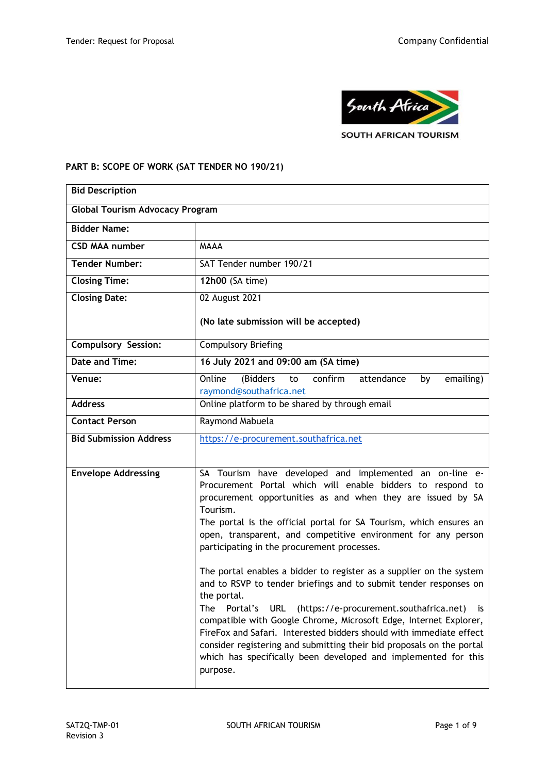

# **PART B: SCOPE OF WORK (SAT TENDER NO 190/21)**

| <b>Bid Description</b>                 |                                                                                                                                                                                                                                                                                                                                                                                                                                                                                                                                                   |  |  |  |
|----------------------------------------|---------------------------------------------------------------------------------------------------------------------------------------------------------------------------------------------------------------------------------------------------------------------------------------------------------------------------------------------------------------------------------------------------------------------------------------------------------------------------------------------------------------------------------------------------|--|--|--|
| <b>Global Tourism Advocacy Program</b> |                                                                                                                                                                                                                                                                                                                                                                                                                                                                                                                                                   |  |  |  |
| <b>Bidder Name:</b>                    |                                                                                                                                                                                                                                                                                                                                                                                                                                                                                                                                                   |  |  |  |
| <b>CSD MAA number</b>                  | <b>MAAA</b>                                                                                                                                                                                                                                                                                                                                                                                                                                                                                                                                       |  |  |  |
| <b>Tender Number:</b>                  | SAT Tender number 190/21                                                                                                                                                                                                                                                                                                                                                                                                                                                                                                                          |  |  |  |
| <b>Closing Time:</b>                   | 12h00 (SA time)                                                                                                                                                                                                                                                                                                                                                                                                                                                                                                                                   |  |  |  |
| <b>Closing Date:</b>                   | 02 August 2021                                                                                                                                                                                                                                                                                                                                                                                                                                                                                                                                    |  |  |  |
|                                        | (No late submission will be accepted)                                                                                                                                                                                                                                                                                                                                                                                                                                                                                                             |  |  |  |
| <b>Compulsory Session:</b>             | <b>Compulsory Briefing</b>                                                                                                                                                                                                                                                                                                                                                                                                                                                                                                                        |  |  |  |
| Date and Time:                         | 16 July 2021 and 09:00 am (SA time)                                                                                                                                                                                                                                                                                                                                                                                                                                                                                                               |  |  |  |
| Venue:                                 | Online<br>(Bidders<br>confirm<br>attendance<br>emailing)<br>to<br>by<br>raymond@southafrica.net                                                                                                                                                                                                                                                                                                                                                                                                                                                   |  |  |  |
| <b>Address</b>                         | Online platform to be shared by through email                                                                                                                                                                                                                                                                                                                                                                                                                                                                                                     |  |  |  |
| <b>Contact Person</b>                  | Raymond Mabuela                                                                                                                                                                                                                                                                                                                                                                                                                                                                                                                                   |  |  |  |
| <b>Bid Submission Address</b>          | https://e-procurement.southafrica.net                                                                                                                                                                                                                                                                                                                                                                                                                                                                                                             |  |  |  |
|                                        |                                                                                                                                                                                                                                                                                                                                                                                                                                                                                                                                                   |  |  |  |
| <b>Envelope Addressing</b>             | SA Tourism have developed and implemented an on-line e-<br>Procurement Portal which will enable bidders to respond to<br>procurement opportunities as and when they are issued by SA<br>Tourism.<br>The portal is the official portal for SA Tourism, which ensures an<br>open, transparent, and competitive environment for any person<br>participating in the procurement processes.<br>The portal enables a bidder to register as a supplier on the system<br>and to RSVP to tender briefings and to submit tender responses on<br>the portal. |  |  |  |
|                                        | <b>URL</b><br>The<br>Portal's<br>(https://e-procurement.southafrica.net)<br><b>is</b><br>compatible with Google Chrome, Microsoft Edge, Internet Explorer,<br>FireFox and Safari. Interested bidders should with immediate effect<br>consider registering and submitting their bid proposals on the portal<br>which has specifically been developed and implemented for this<br>purpose.                                                                                                                                                          |  |  |  |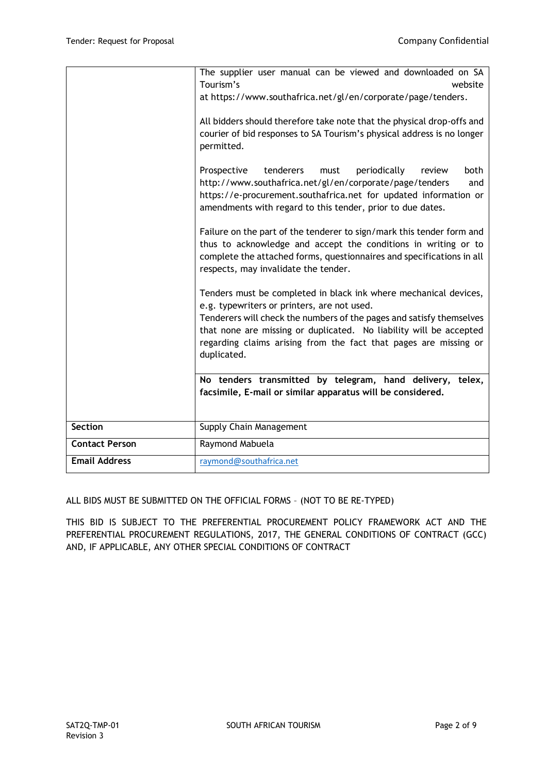|                       | The supplier user manual can be viewed and downloaded on SA<br>Tourism's<br>website<br>at https://www.southafrica.net/gl/en/corporate/page/tenders.<br>All bidders should therefore take note that the physical drop-offs and<br>courier of bid responses to SA Tourism's physical address is no longer<br>permitted.<br>Prospective<br>tenderers<br>periodically<br>both<br>must<br>review<br>http://www.southafrica.net/gl/en/corporate/page/tenders<br>and<br>https://e-procurement.southafrica.net for updated information or<br>amendments with regard to this tender, prior to due dates.<br>Failure on the part of the tenderer to sign/mark this tender form and<br>thus to acknowledge and accept the conditions in writing or to<br>complete the attached forms, questionnaires and specifications in all<br>respects, may invalidate the tender.<br>Tenders must be completed in black ink where mechanical devices,<br>e.g. typewriters or printers, are not used.<br>Tenderers will check the numbers of the pages and satisfy themselves<br>that none are missing or duplicated. No liability will be accepted<br>regarding claims arising from the fact that pages are missing or<br>duplicated.<br>No tenders transmitted by telegram, hand delivery, telex,<br>facsimile, E-mail or similar apparatus will be considered. |
|-----------------------|--------------------------------------------------------------------------------------------------------------------------------------------------------------------------------------------------------------------------------------------------------------------------------------------------------------------------------------------------------------------------------------------------------------------------------------------------------------------------------------------------------------------------------------------------------------------------------------------------------------------------------------------------------------------------------------------------------------------------------------------------------------------------------------------------------------------------------------------------------------------------------------------------------------------------------------------------------------------------------------------------------------------------------------------------------------------------------------------------------------------------------------------------------------------------------------------------------------------------------------------------------------------------------------------------------------------------------------------|
| <b>Section</b>        | Supply Chain Management                                                                                                                                                                                                                                                                                                                                                                                                                                                                                                                                                                                                                                                                                                                                                                                                                                                                                                                                                                                                                                                                                                                                                                                                                                                                                                                    |
| <b>Contact Person</b> | Raymond Mabuela                                                                                                                                                                                                                                                                                                                                                                                                                                                                                                                                                                                                                                                                                                                                                                                                                                                                                                                                                                                                                                                                                                                                                                                                                                                                                                                            |
| <b>Email Address</b>  | raymond@southafrica.net                                                                                                                                                                                                                                                                                                                                                                                                                                                                                                                                                                                                                                                                                                                                                                                                                                                                                                                                                                                                                                                                                                                                                                                                                                                                                                                    |

ALL BIDS MUST BE SUBMITTED ON THE OFFICIAL FORMS – (NOT TO BE RE-TYPED)

THIS BID IS SUBJECT TO THE PREFERENTIAL PROCUREMENT POLICY FRAMEWORK ACT AND THE PREFERENTIAL PROCUREMENT REGULATIONS, 2017, THE GENERAL CONDITIONS OF CONTRACT (GCC) AND, IF APPLICABLE, ANY OTHER SPECIAL CONDITIONS OF CONTRACT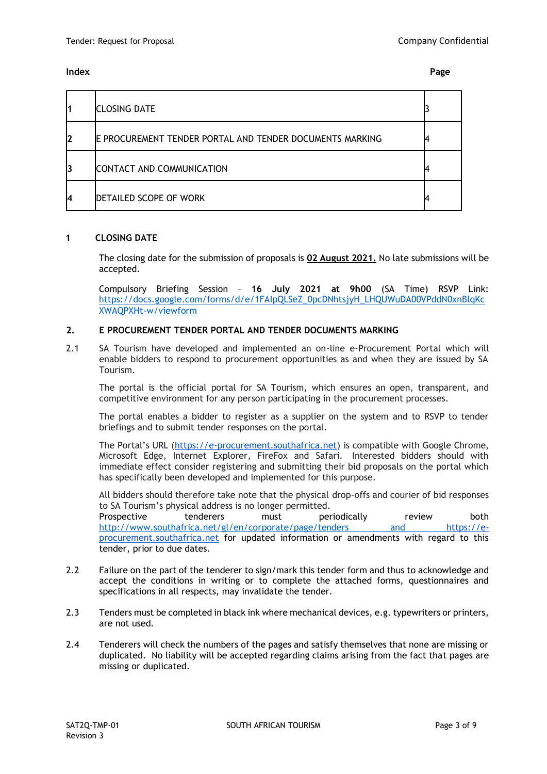| 11 | <b>CLOSING DATE</b>                                      |   |
|----|----------------------------------------------------------|---|
| I2 | E PROCUREMENT TENDER PORTAL AND TENDER DOCUMENTS MARKING | − |
| 13 | CONTACT AND COMMUNICATION                                |   |
| I4 | DETAILED SCOPE OF WORK                                   |   |

## **1 CLOSING DATE**

The closing date for the submission of proposals is **02 August 2021.** No late submissions will be accepted.

Compulsory Briefing Session – **16 July 2021 at 9h00** (SA Time) RSVP Link: [https://docs.google.com/forms/d/e/1FAIpQLSeZ\\_0pcDNhtsjyH\\_LHQUWuDA00VPddN0xnBlqKc](https://docs.google.com/forms/d/e/1FAIpQLSeZ_0pcDNhtsjyH_LHQUWuDA00VPddN0xnBlqKcXWAQPXHt-w/viewform) [XWAQPXHt-w/viewform](https://docs.google.com/forms/d/e/1FAIpQLSeZ_0pcDNhtsjyH_LHQUWuDA00VPddN0xnBlqKcXWAQPXHt-w/viewform)

## **2. E PROCUREMENT TENDER PORTAL AND TENDER DOCUMENTS MARKING**

2.1 SA Tourism have developed and implemented an on-line e-Procurement Portal which will enable bidders to respond to procurement opportunities as and when they are issued by SA Tourism.

The portal is the official portal for SA Tourism, which ensures an open, transparent, and competitive environment for any person participating in the procurement processes.

The portal enables a bidder to register as a supplier on the system and to RSVP to tender briefings and to submit tender responses on the portal.

The Portal's URL ([https://e-procurement.southafrica.net\)](https://e-procurement.southafrica.net/) is compatible with Google Chrome, Microsoft Edge, Internet Explorer, FireFox and Safari. Interested bidders should with immediate effect consider registering and submitting their bid proposals on the portal which has specifically been developed and implemented for this purpose.

All bidders should therefore take note that the physical drop-offs and courier of bid responses to SA Tourism's physical address is no longer permitted. Prospective tenderers must periodically review both <http://www.southafrica.net/gl/en/corporate/page/tenders> and [https://e](https://e-procurement.southafrica.net/)[procurement.southafrica.net](https://e-procurement.southafrica.net/) for updated information or amendments with regard to this tender, prior to due dates.

- 2.2 Failure on the part of the tenderer to sign/mark this tender form and thus to acknowledge and accept the conditions in writing or to complete the attached forms, questionnaires and specifications in all respects, may invalidate the tender.
- 2.3 Tenders must be completed in black ink where mechanical devices, e.g. typewriters or printers, are not used.
- 2.4 Tenderers will check the numbers of the pages and satisfy themselves that none are missing or duplicated. No liability will be accepted regarding claims arising from the fact that pages are missing or duplicated.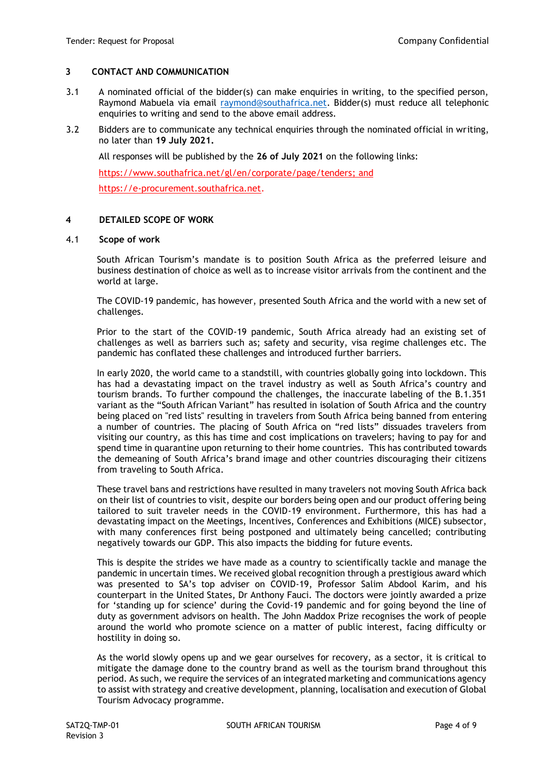## **3 CONTACT AND COMMUNICATION**

- 3.1 A nominated official of the bidder(s) can make enquiries in writing, to the specified person, Raymond Mabuela via email [raymond@southafrica.net.](mailto:raymond@southafrica.net) Bidder(s) must reduce all telephonic enquiries to writing and send to the above email address.
- 3.2 Bidders are to communicate any technical enquiries through the nominated official in writing, no later than **19 July 2021.**

All responses will be published by the **26 of July 2021** on the following links:

[https://www.southafrica.net/gl/en/corporate/page/tenders;](https://www.southafrica.net/gl/en/corporate/page/tenders) and

[https://e-procurement.southafrica.net.](https://e-procurement.southafrica.net/)

## **4 DETAILED SCOPE OF WORK**

#### 4.1 **Scope of work**

South African Tourism's mandate is to position South Africa as the preferred leisure and business destination of choice as well as to increase visitor arrivals from the continent and the world at large.

The COVID-19 pandemic, has however, presented South Africa and the world with a new set of challenges.

Prior to the start of the COVID-19 pandemic, South Africa already had an existing set of challenges as well as barriers such as; safety and security, visa regime challenges etc. The pandemic has conflated these challenges and introduced further barriers.

In early 2020, the world came to a standstill, with countries globally going into lockdown. This has had a devastating impact on the travel industry as well as South Africa's country and tourism brands. To further compound the challenges, the inaccurate labeling of the B.1.351 variant as the "South African Variant" has resulted in isolation of South Africa and the country being placed on "red lists" resulting in travelers from South Africa being banned from entering a number of countries. The placing of South Africa on "red lists" dissuades travelers from visiting our country, as this has time and cost implications on travelers; having to pay for and spend time in quarantine upon returning to their home countries. This has contributed towards the demeaning of South Africa's brand image and other countries discouraging their citizens from traveling to South Africa.

These travel bans and restrictions have resulted in many travelers not moving South Africa back on their list of countries to visit, despite our borders being open and our product offering being tailored to suit traveler needs in the COVID-19 environment. Furthermore, this has had a devastating impact on the Meetings, Incentives, Conferences and Exhibitions (MICE) subsector, with many conferences first being postponed and ultimately being cancelled; contributing negatively towards our GDP. This also impacts the bidding for future events.

This is despite the strides we have made as a country to scientifically tackle and manage the pandemic in uncertain times. We received global recognition through a prestigious award which was presented to SA's top adviser on COVID-19, Professor Salim Abdool Karim, and his counterpart in the United States, Dr Anthony Fauci. The doctors were jointly awarded a prize for 'standing up for science' during the Covid-19 pandemic and for going beyond the line of duty as government advisors on health. The John Maddox Prize recognises the work of people around the world who promote science on a matter of public interest, facing difficulty or hostility in doing so.

As the world slowly opens up and we gear ourselves for recovery, as a sector, it is critical to mitigate the damage done to the country brand as well as the tourism brand throughout this period. As such, we require the services of an integrated marketing and communications agency to assist with strategy and creative development, planning, localisation and execution of Global Tourism Advocacy programme.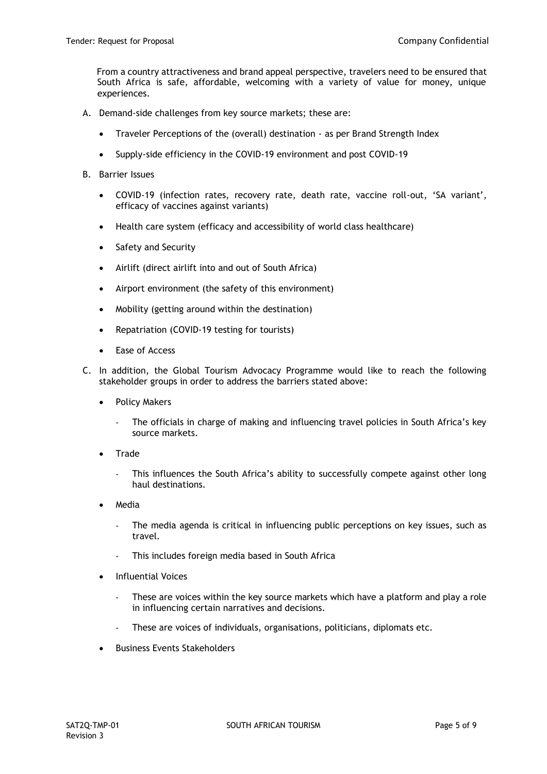From a country attractiveness and brand appeal perspective, travelers need to be ensured that South Africa is safe, affordable, welcoming with a variety of value for money, unique experiences.

- A. Demand-side challenges from key source markets; these are:
	- Traveler Perceptions of the (overall) destination as per Brand Strength Index
	- Supply-side efficiency in the COVID-19 environment and post COVID-19
- B. Barrier Issues
	- COVID-19 (infection rates, recovery rate, death rate, vaccine roll-out, 'SA variant', efficacy of vaccines against variants)
	- Health care system (efficacy and accessibility of world class healthcare)
	- Safety and Security
	- Airlift (direct airlift into and out of South Africa)
	- Airport environment (the safety of this environment)
	- Mobility (getting around within the destination)
	- Repatriation (COVID-19 testing for tourists)
	- Ease of Access
- C. In addition, the Global Tourism Advocacy Programme would like to reach the following stakeholder groups in order to address the barriers stated above:
	- Policy Makers
		- The officials in charge of making and influencing travel policies in South Africa's key source markets.
	- **Trade** 
		- This influences the South Africa's ability to successfully compete against other long haul destinations.
	- Media
		- The media agenda is critical in influencing public perceptions on key issues, such as travel.
		- This includes foreign media based in South Africa
	- Influential Voices
		- These are voices within the key source markets which have a platform and play a role in influencing certain narratives and decisions.
		- These are voices of individuals, organisations, politicians, diplomats etc.
	- Business Events Stakeholders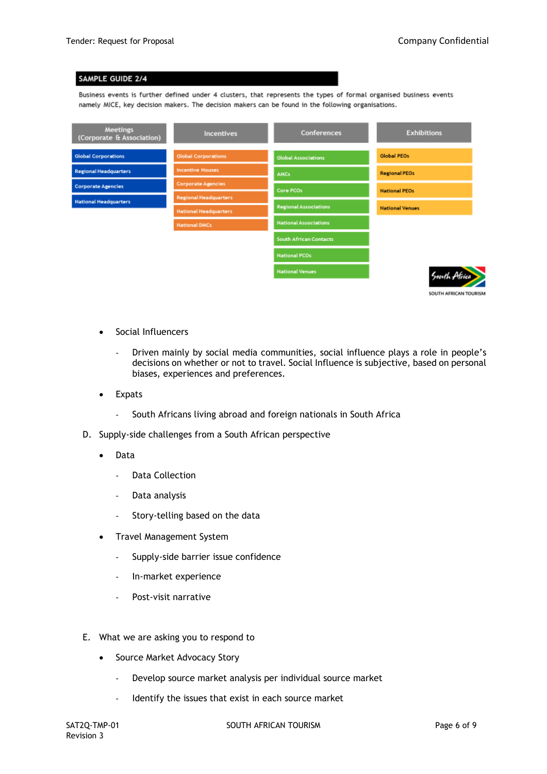## SAMPLE GUIDE 2/4

Business events is further defined under 4 clusters, that represents the types of formal organised business events namely MICE, key decision makers. The decision makers can be found in the following organisations.

| <b>Meetings</b><br>(Corporate & Association) | Incentives                   | Conferences                   | <b>Exhibitions</b>     |
|----------------------------------------------|------------------------------|-------------------------------|------------------------|
| <b>Global Corporations</b>                   | <b>Global Corporations</b>   | <b>Global Associations</b>    | Global PEOs            |
| <b>Regional Headquarters</b>                 | <b>Incentive Houses</b>      | <b>AMCs</b>                   | <b>Regional PEOs</b>   |
| <b>Corporate Agencies</b>                    | <b>Corporate Agencies</b>    | Core PCOs                     | <b>National PEOs</b>   |
| <b>National Headquarters</b>                 | <b>Regional Headquarters</b> | <b>Regional Associations</b>  | <b>National Venues</b> |
|                                              | <b>National Headquarters</b> |                               |                        |
|                                              | <b>National DMCs</b>         | <b>National Associations</b>  |                        |
|                                              |                              | <b>South African Contacts</b> |                        |
|                                              |                              | <b>National PCOs</b>          |                        |
|                                              |                              | <b>National Venues</b>        | South Africa           |
|                                              |                              |                               | SOUTH AFRICAN TOURISM  |

Social Influencers

- Driven mainly by social media communities, social influence plays a role in people's decisions on whether or not to travel. Social Influence is subjective, based on personal biases, experiences and preferences.
- **Expats** 
	- South Africans living abroad and foreign nationals in South Africa
- D. Supply-side challenges from a South African perspective
	- Data
		- Data Collection
		- Data analysis
		- Story-telling based on the data
	- Travel Management System
		- Supply-side barrier issue confidence
		- In-market experience
		- Post-visit narrative
- E. What we are asking you to respond to
	- Source Market Advocacy Story
		- Develop source market analysis per individual source market
		- Identify the issues that exist in each source market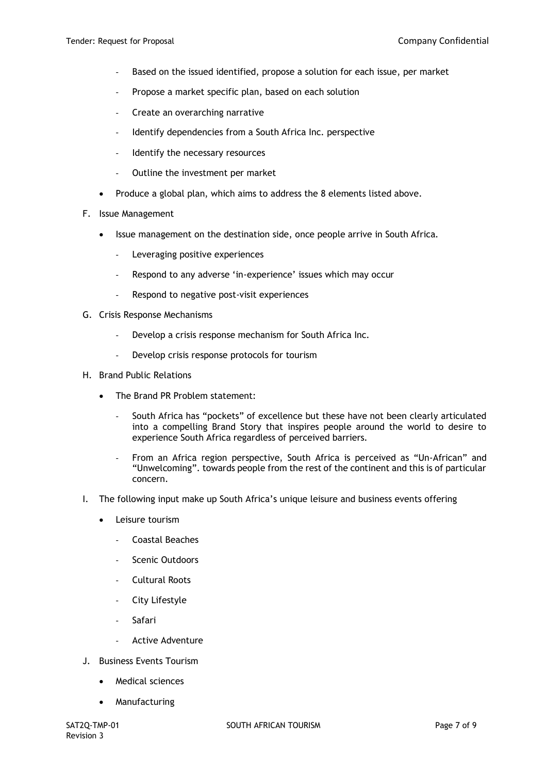- Based on the issued identified, propose a solution for each issue, per market
- Propose a market specific plan, based on each solution
- Create an overarching narrative
- Identify dependencies from a South Africa Inc. perspective
- Identify the necessary resources
- Outline the investment per market
- Produce a global plan, which aims to address the 8 elements listed above.
- F. Issue Management
	- Issue management on the destination side, once people arrive in South Africa.
		- Leveraging positive experiences
		- Respond to any adverse 'in-experience' issues which may occur
		- Respond to negative post-visit experiences
- G. Crisis Response Mechanisms
	- Develop a crisis response mechanism for South Africa Inc.
	- Develop crisis response protocols for tourism
- H. Brand Public Relations
	- The Brand PR Problem statement:
		- South Africa has "pockets" of excellence but these have not been clearly articulated into a compelling Brand Story that inspires people around the world to desire to experience South Africa regardless of perceived barriers.
		- From an Africa region perspective, South Africa is perceived as "Un-African" and "Unwelcoming". towards people from the rest of the continent and this is of particular concern.
- I. The following input make up South Africa's unique leisure and business events offering
	- Leisure tourism
		- Coastal Beaches
		- Scenic Outdoors
		- Cultural Roots
		- City Lifestyle
		- Safari
		- Active Adventure
- J. Business Events Tourism
	- Medical sciences
	- Manufacturing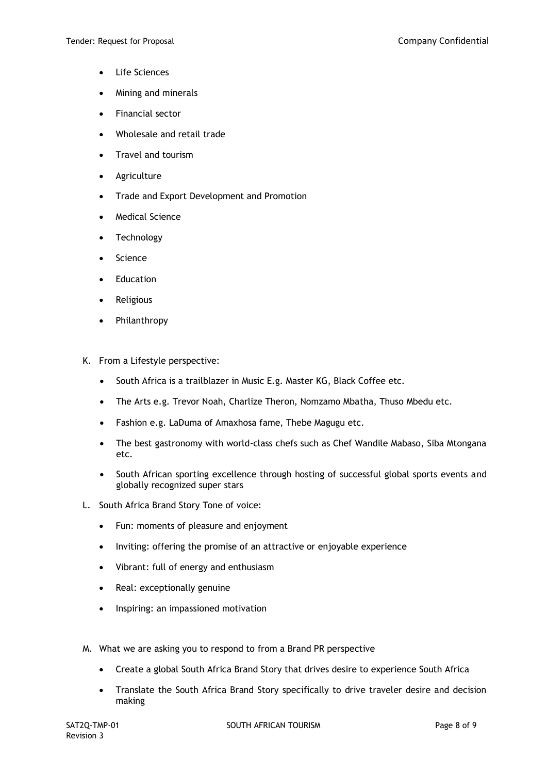- **Life Sciences**
- Mining and minerals
- Financial sector
- Wholesale and retail trade
- Travel and tourism
- **Agriculture**
- Trade and Export Development and Promotion
- Medical Science
- **Technology**
- Science
- **Education**
- **Religious**
- Philanthropy
- K. From a Lifestyle perspective:
	- South Africa is a trailblazer in Music E.g. Master KG, Black Coffee etc.
	- The Arts e.g. Trevor Noah, Charlize Theron, Nomzamo Mbatha, Thuso Mbedu etc.
	- Fashion e.g. LaDuma of Amaxhosa fame, Thebe Magugu etc.
	- The best gastronomy with world-class chefs such as Chef Wandile Mabaso, Siba Mtongana etc.
	- South African sporting excellence through hosting of successful global sports events and globally recognized super stars
- L. South Africa Brand Story Tone of voice:
	- Fun: moments of pleasure and enjoyment
	- Inviting: offering the promise of an attractive or enjoyable experience
	- Vibrant: full of energy and enthusiasm
	- Real: exceptionally genuine
	- Inspiring: an impassioned motivation
- M. What we are asking you to respond to from a Brand PR perspective
	- Create a global South Africa Brand Story that drives desire to experience South Africa
	- Translate the South Africa Brand Story specifically to drive traveler desire and decision making